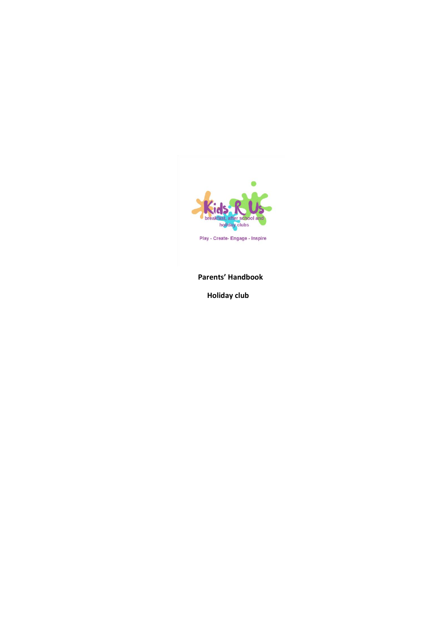

# **Parents' Handbook**

 **Holiday club**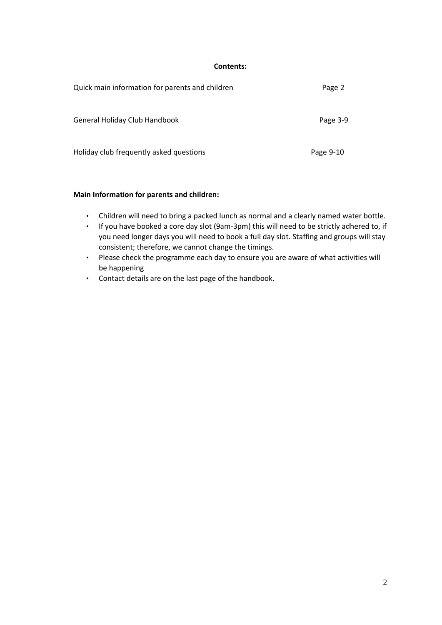**Contents:** 

| Quick main information for parents and children | Page 2    |
|-------------------------------------------------|-----------|
| General Holiday Club Handbook                   | Page 3-9  |
| Holiday club frequently asked questions         | Page 9-10 |

## **Main Information for parents and children:**

- Children will need to bring a packed lunch as normal and a clearly named water bottle.
- If you have booked a core day slot (9am-3pm) this will need to be strictly adhered to, if you need longer days you will need to book a full day slot. Staffing and groups will stay consistent; therefore, we cannot change the timings.
- Please check the programme each day to ensure you are aware of what activities will be happening
- Contact details are on the last page of the handbook.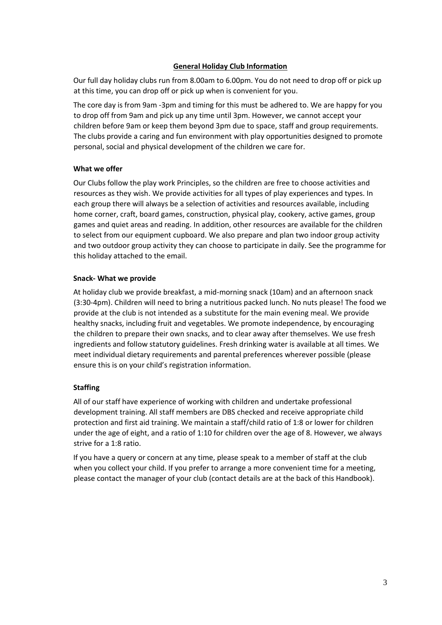## **General Holiday Club Information**

Our full day holiday clubs run from 8.00am to 6.00pm. You do not need to drop off or pick up at this time, you can drop off or pick up when is convenient for you.

The core day is from 9am -3pm and timing for this must be adhered to. We are happy for you to drop off from 9am and pick up any time until 3pm. However, we cannot accept your children before 9am or keep them beyond 3pm due to space, staff and group requirements. The clubs provide a caring and fun environment with play opportunities designed to promote personal, social and physical development of the children we care for.

## **What we offer**

Our Clubs follow the play work Principles, so the children are free to choose activities and resources as they wish. We provide activities for all types of play experiences and types. In each group there will always be a selection of activities and resources available, including home corner, craft, board games, construction, physical play, cookery, active games, group games and quiet areas and reading. In addition, other resources are available for the children to select from our equipment cupboard. We also prepare and plan two indoor group activity and two outdoor group activity they can choose to participate in daily. See the programme for this holiday attached to the email.

## **Snack- What we provide**

At holiday club we provide breakfast, a mid-morning snack (10am) and an afternoon snack (3:30-4pm). Children will need to bring a nutritious packed lunch. No nuts please! The food we provide at the club is not intended as a substitute for the main evening meal. We provide healthy snacks, including fruit and vegetables. We promote independence, by encouraging the children to prepare their own snacks, and to clear away after themselves. We use fresh ingredients and follow statutory guidelines. Fresh drinking water is available at all times. We meet individual dietary requirements and parental preferences wherever possible (please ensure this is on your child's registration information.

# **Staffing**

All of our staff have experience of working with children and undertake professional development training. All staff members are DBS checked and receive appropriate child protection and first aid training. We maintain a staff/child ratio of 1:8 or lower for children under the age of eight, and a ratio of 1:10 for children over the age of 8. However, we always strive for a 1:8 ratio.

If you have a query or concern at any time, please speak to a member of staff at the club when you collect your child. If you prefer to arrange a more convenient time for a meeting, please contact the manager of your club (contact details are at the back of this Handbook).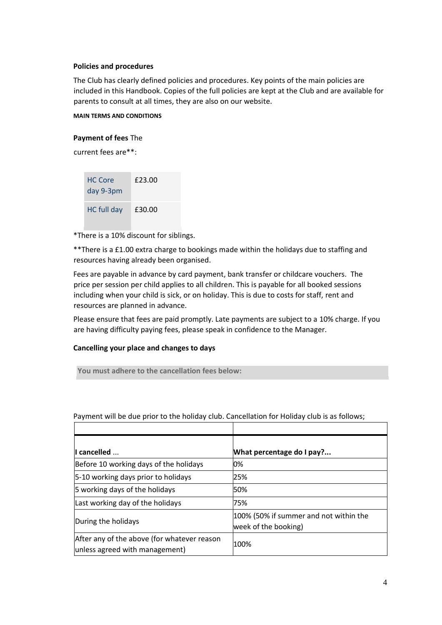### **Policies and procedures**

The Club has clearly defined policies and procedures. Key points of the main policies are included in this Handbook. Copies of the full policies are kept at the Club and are available for parents to consult at all times, they are also on our website.

#### **MAIN TERMS AND CONDITIONS**

#### **Payment of fees** The

current fees are\*\*:

| <b>HC Core</b><br>day 9-3pm | £23.00 |
|-----------------------------|--------|
| HC full day                 | £30.00 |

\*There is a 10% discount for siblings.

\*\*There is a £1.00 extra charge to bookings made within the holidays due to staffing and resources having already been organised.

Fees are payable in advance by card payment, bank transfer or childcare vouchers. The price per session per child applies to all children. This is payable for all booked sessions including when your child is sick, or on holiday. This is due to costs for staff, rent and resources are planned in advance.

Please ensure that fees are paid promptly. Late payments are subject to a 10% charge. If you are having difficulty paying fees, please speak in confidence to the Manager.

### **Cancelling your place and changes to days**

**You must adhere to the cancellation fees below:** 

| $\blacksquare$ cancelled $\ldots$                                             | What percentage do I pay?                                      |
|-------------------------------------------------------------------------------|----------------------------------------------------------------|
| Before 10 working days of the holidays                                        | 0%                                                             |
| 5-10 working days prior to holidays                                           | 25%                                                            |
| 5 working days of the holidays                                                | 50%                                                            |
| Last working day of the holidays                                              | 75%                                                            |
| During the holidays                                                           | 100% (50% if summer and not within the<br>week of the booking) |
| After any of the above (for whatever reason<br>unless agreed with management) | 100%                                                           |

Payment will be due prior to the holiday club. Cancellation for Holiday club is as follows;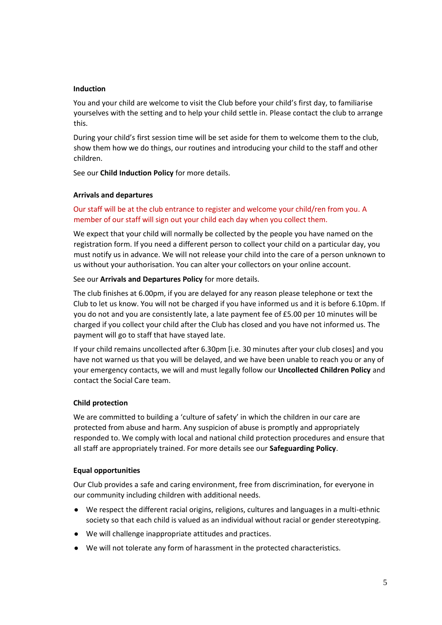### **Induction**

You and your child are welcome to visit the Club before your child's first day, to familiarise yourselves with the setting and to help your child settle in. Please contact the club to arrange this.

During your child's first session time will be set aside for them to welcome them to the club, show them how we do things, our routines and introducing your child to the staff and other children.

See our **Child Induction Policy** for more details.

## **Arrivals and departures**

# Our staff will be at the club entrance to register and welcome your child/ren from you. A member of our staff will sign out your child each day when you collect them.

We expect that your child will normally be collected by the people you have named on the registration form. If you need a different person to collect your child on a particular day, you must notify us in advance. We will not release your child into the care of a person unknown to us without your authorisation. You can alter your collectors on your online account.

See our **Arrivals and Departures Policy** for more details.

The club finishes at 6.00pm, if you are delayed for any reason please telephone or text the Club to let us know. You will not be charged if you have informed us and it is before 6.10pm. If you do not and you are consistently late, a late payment fee of £5.00 per 10 minutes will be charged if you collect your child after the Club has closed and you have not informed us. The payment will go to staff that have stayed late.

If your child remains uncollected after 6.30pm [i.e. 30 minutes after your club closes] and you have not warned us that you will be delayed, and we have been unable to reach you or any of your emergency contacts, we will and must legally follow our **Uncollected Children Policy** and contact the Social Care team.

# **Child protection**

We are committed to building a 'culture of safety' in which the children in our care are protected from abuse and harm. Any suspicion of abuse is promptly and appropriately responded to. We comply with local and national child protection procedures and ensure that all staff are appropriately trained. For more details see our **Safeguarding Policy**.

### **Equal opportunities**

Our Club provides a safe and caring environment, free from discrimination, for everyone in our community including children with additional needs.

- We respect the different racial origins, religions, cultures and languages in a multi-ethnic society so that each child is valued as an individual without racial or gender stereotyping.
- We will challenge inappropriate attitudes and practices.
- We will not tolerate any form of harassment in the protected characteristics.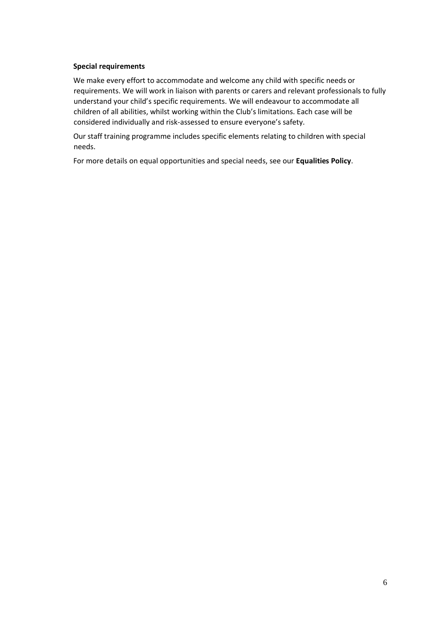## **Special requirements**

We make every effort to accommodate and welcome any child with specific needs or requirements. We will work in liaison with parents or carers and relevant professionals to fully understand your child's specific requirements. We will endeavour to accommodate all children of all abilities, whilst working within the Club's limitations. Each case will be considered individually and risk-assessed to ensure everyone's safety.

Our staff training programme includes specific elements relating to children with special needs.

For more details on equal opportunities and special needs, see our **Equalities Policy**.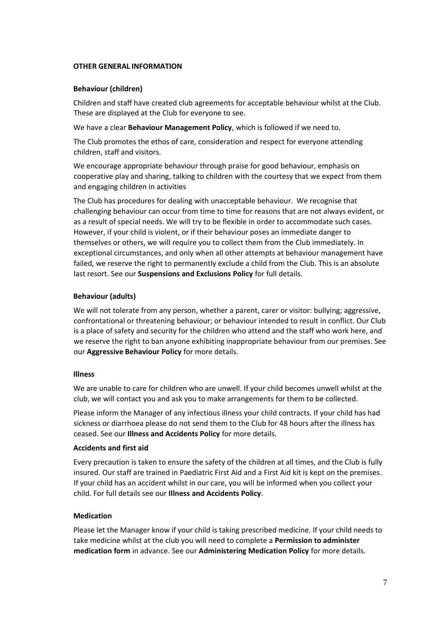#### **OTHER GENERAL INFORMATION**

#### **Behaviour (children)**

Children and staff have created club agreements for acceptable behaviour whilst at the Club. These are displayed at the Club for everyone to see.

We have a clear **Behaviour Management Policy**, which is followed if we need to.

The Club promotes the ethos of care, consideration and respect for everyone attending children, staff and visitors.

We encourage appropriate behaviour through praise for good behaviour, emphasis on cooperative play and sharing, talking to children with the courtesy that we expect from them and engaging children in activities

The Club has procedures for dealing with unacceptable behaviour. We recognise that challenging behaviour can occur from time to time for reasons that are not always evident, or as a result of special needs. We will try to be flexible in order to accommodate such cases. However, if your child is violent, or if their behaviour poses an immediate danger to themselves or others, we will require you to collect them from the Club immediately. In exceptional circumstances, and only when all other attempts at behaviour management have failed, we reserve the right to permanently exclude a child from the Club. This is an absolute last resort. See our **Suspensions and Exclusions Policy** for full details.

### **Behaviour (adults)**

We will not tolerate from any person, whether a parent, carer or visitor: bullying; aggressive, confrontational or threatening behaviour; or behaviour intended to result in conflict. Our Club is a place of safety and security for the children who attend and the staff who work here, and we reserve the right to ban anyone exhibiting inappropriate behaviour from our premises. See our **Aggressive Behaviour Policy** for more details.

### **Illness**

We are unable to care for children who are unwell. If your child becomes unwell whilst at the club, we will contact you and ask you to make arrangements for them to be collected.

Please inform the Manager of any infectious illness your child contracts. If your child has had sickness or diarrhoea please do not send them to the Club for 48 hours after the illness has ceased. See our **Illness and Accidents Policy** for more details.

#### **Accidents and first aid**

Every precaution is taken to ensure the safety of the children at all times, and the Club is fully insured. Our staff are trained in Paediatric First Aid and a First Aid kit is kept on the premises. If your child has an accident whilst in our care, you will be informed when you collect your child. For full details see our **Illness and Accidents Policy**.

### **Medication**

Please let the Manager know if your child is taking prescribed medicine. If your child needs to take medicine whilst at the club you will need to complete a **Permission to administer medication form** in advance. See our **Administering Medication Policy** for more details.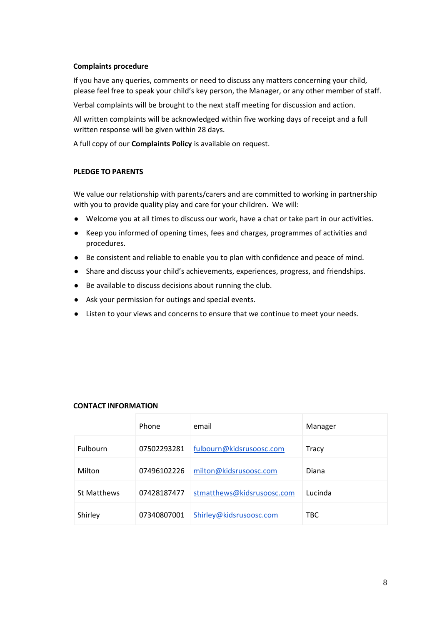### **Complaints procedure**

If you have any queries, comments or need to discuss any matters concerning your child, please feel free to speak your child's key person, the Manager, or any other member of staff.

Verbal complaints will be brought to the next staff meeting for discussion and action.

All written complaints will be acknowledged within five working days of receipt and a full written response will be given within 28 days.

A full copy of our **Complaints Policy** is available on request.

#### **PLEDGE TO PARENTS**

We value our relationship with parents/carers and are committed to working in partnership with you to provide quality play and care for your children. We will:

- Welcome you at all times to discuss our work, have a chat or take part in our activities.
- Keep you informed of opening times, fees and charges, programmes of activities and procedures.
- Be consistent and reliable to enable you to plan with confidence and peace of mind.
- Share and discuss your child's achievements, experiences, progress, and friendships.
- Be available to discuss decisions about running the club.
- Ask your permission for outings and special events.
- Listen to your views and concerns to ensure that we continue to meet your needs.

|                 | Phone       | email                      | Manager    |
|-----------------|-------------|----------------------------|------------|
| <b>Fulbourn</b> | 07502293281 | fulbourn@kidsrusoosc.com   | Tracy      |
| Milton          | 07496102226 | milton@kidsrusoosc.com     | Diana      |
| St Matthews     | 07428187477 | stmatthews@kidsrusoosc.com | Lucinda    |
| Shirley         | 07340807001 | Shirley@kidsrusoosc.com    | <b>TBC</b> |

#### **CONTACT INFORMATION**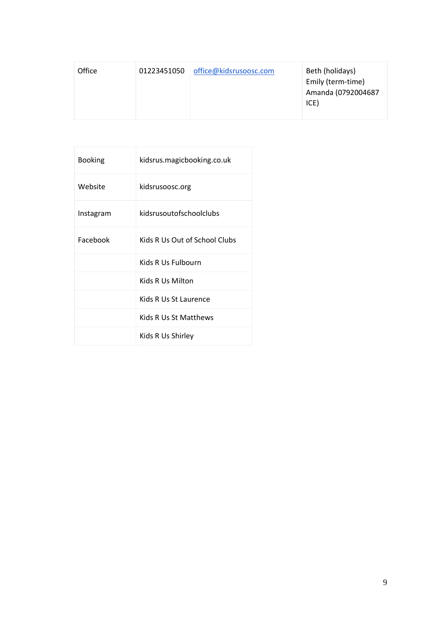| Office<br>01223451050 | office@kidsrusoosc.com | Beth (holidays)<br>Emily (term-time)<br>Amanda (0792004687<br>ICE) |
|-----------------------|------------------------|--------------------------------------------------------------------|
|-----------------------|------------------------|--------------------------------------------------------------------|

| Booking   | kidsrus.magicbooking.co.uk    |
|-----------|-------------------------------|
| Website   | kidsrusoosc.org               |
| Instagram | kidsrusoutofschoolclubs       |
| Facebook  | Kids R Us Out of School Clubs |
|           | Kids R Us Fulbourn            |
|           | Kids R Us Milton              |
|           | Kids R Us St Laurence         |
|           | Kids R Us St Matthews         |
|           | Kids R Us Shirley             |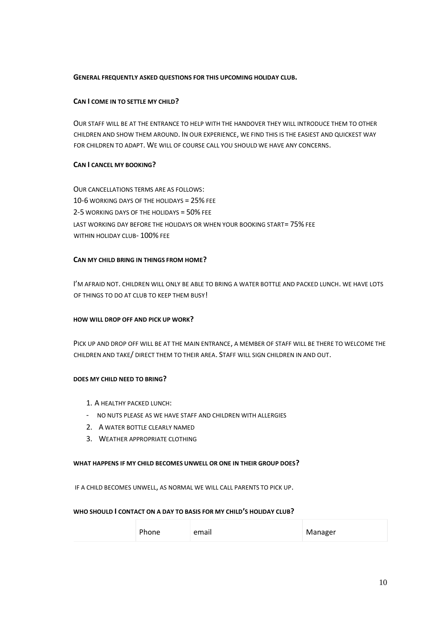#### **GENERAL FREQUENTLY ASKED QUESTIONS FOR THIS UPCOMING HOLIDAY CLUB.**

#### **CAN I COME IN TO SETTLE MY CHILD?**

OUR STAFF WILL BE AT THE ENTRANCE TO HELP WITH THE HANDOVER THEY WILL INTRODUCE THEM TO OTHER CHILDREN AND SHOW THEM AROUND. IN OUR EXPERIENCE, WE FIND THIS IS THE EASIEST AND QUICKEST WAY FOR CHILDREN TO ADAPT. WE WILL OF COURSE CALL YOU SHOULD WE HAVE ANY CONCERNS.

### **CAN I CANCEL MY BOOKING?**

OUR CANCELLATIONS TERMS ARE AS FOLLOWS: 10-6 WORKING DAYS OF THE HOLIDAYS = 25% FEE 2-5 WORKING DAYS OF THE HOLIDAYS = 50% FEE LAST WORKING DAY BEFORE THE HOLIDAYS OR WHEN YOUR BOOKING START= 75% FEE WITHIN HOLIDAY CLUB-100% FEE

#### **CAN MY CHILD BRING IN THINGS FROM HOME?**

I'M AFRAID NOT. CHILDREN WILL ONLY BE ABLE TO BRING A WATER BOTTLE AND PACKED LUNCH. WE HAVE LOTS OF THINGS TO DO AT CLUB TO KEEP THEM BUSY!

#### **HOW WILL DROP OFF AND PICK UP WORK?**

PICK UP AND DROP OFF WILL BE AT THE MAIN ENTRANCE, A MEMBER OF STAFF WILL BE THERE TO WELCOME THE CHILDREN AND TAKE/ DIRECT THEM TO THEIR AREA. STAFF WILL SIGN CHILDREN IN AND OUT.

#### **DOES MY CHILD NEED TO BRING?**

- 1. A HEALTHY PACKED LUNCH:
- NO NUTS PLEASE AS WE HAVE STAFF AND CHILDREN WITH ALLERGIES
- 2. A WATER BOTTLE CLEARLY NAMED
- 3. WEATHER APPROPRIATE CLOTHING

#### **WHAT HAPPENS IF MY CHILD BECOMES UNWELL OR ONE IN THEIR GROUP DOES?**

IF A CHILD BECOMES UNWELL, AS NORMAL WE WILL CALL PARENTS TO PICK UP.

#### **WHO SHOULD I CONTACT ON A DAY TO BASIS FOR MY CHILD'S HOLIDAY CLUB?**

| Phone | email | Manager |
|-------|-------|---------|